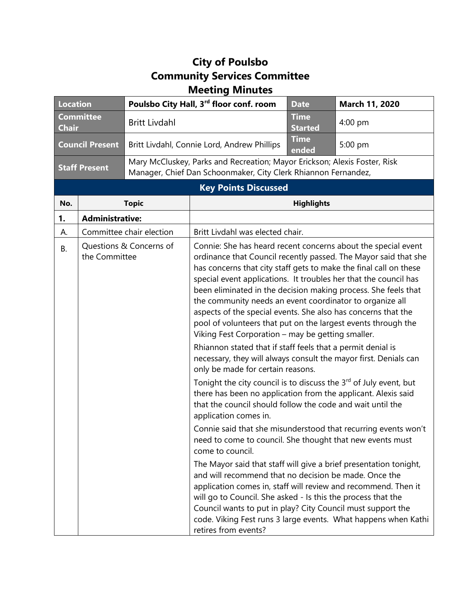## **City of Poulsbo Community Services Committee Meeting Minutes**

| <b>Location</b>                  |                                          | Poulsbo City Hall, 3rd floor conf. room                                                                                                     |                                                                                                                                                                                                                                                                                                                                                                                                                                                                                                                                                                                                                                                                                                                                                                                                                                                                                                                                                                                                                                                                                                                                      | <b>Date</b>                   | March 11, 2020                                                 |  |  |
|----------------------------------|------------------------------------------|---------------------------------------------------------------------------------------------------------------------------------------------|--------------------------------------------------------------------------------------------------------------------------------------------------------------------------------------------------------------------------------------------------------------------------------------------------------------------------------------------------------------------------------------------------------------------------------------------------------------------------------------------------------------------------------------------------------------------------------------------------------------------------------------------------------------------------------------------------------------------------------------------------------------------------------------------------------------------------------------------------------------------------------------------------------------------------------------------------------------------------------------------------------------------------------------------------------------------------------------------------------------------------------------|-------------------------------|----------------------------------------------------------------|--|--|
| <b>Committee</b><br><b>Chair</b> |                                          | <b>Britt Livdahl</b>                                                                                                                        |                                                                                                                                                                                                                                                                                                                                                                                                                                                                                                                                                                                                                                                                                                                                                                                                                                                                                                                                                                                                                                                                                                                                      | <b>Time</b><br><b>Started</b> | 4:00 pm                                                        |  |  |
| <b>Council Present</b>           |                                          | Britt Livdahl, Connie Lord, Andrew Phillips                                                                                                 |                                                                                                                                                                                                                                                                                                                                                                                                                                                                                                                                                                                                                                                                                                                                                                                                                                                                                                                                                                                                                                                                                                                                      | <b>Time</b><br>ended          | 5:00 pm                                                        |  |  |
| <b>Staff Present</b>             |                                          | Mary McCluskey, Parks and Recreation; Mayor Erickson; Alexis Foster, Risk<br>Manager, Chief Dan Schoonmaker, City Clerk Rhiannon Fernandez, |                                                                                                                                                                                                                                                                                                                                                                                                                                                                                                                                                                                                                                                                                                                                                                                                                                                                                                                                                                                                                                                                                                                                      |                               |                                                                |  |  |
|                                  | <b>Key Points Discussed</b>              |                                                                                                                                             |                                                                                                                                                                                                                                                                                                                                                                                                                                                                                                                                                                                                                                                                                                                                                                                                                                                                                                                                                                                                                                                                                                                                      |                               |                                                                |  |  |
| No.                              | <b>Topic</b>                             |                                                                                                                                             | <b>Highlights</b>                                                                                                                                                                                                                                                                                                                                                                                                                                                                                                                                                                                                                                                                                                                                                                                                                                                                                                                                                                                                                                                                                                                    |                               |                                                                |  |  |
| 1.                               | <b>Administrative:</b>                   |                                                                                                                                             |                                                                                                                                                                                                                                                                                                                                                                                                                                                                                                                                                                                                                                                                                                                                                                                                                                                                                                                                                                                                                                                                                                                                      |                               |                                                                |  |  |
| А.                               | Committee chair election                 |                                                                                                                                             | Britt Livdahl was elected chair.                                                                                                                                                                                                                                                                                                                                                                                                                                                                                                                                                                                                                                                                                                                                                                                                                                                                                                                                                                                                                                                                                                     |                               |                                                                |  |  |
| <b>B.</b>                        | Questions & Concerns of<br>the Committee |                                                                                                                                             | Connie: She has heard recent concerns about the special event<br>ordinance that Council recently passed. The Mayor said that she<br>has concerns that city staff gets to make the final call on these<br>special event applications. It troubles her that the council has<br>been eliminated in the decision making process. She feels that<br>the community needs an event coordinator to organize all<br>aspects of the special events. She also has concerns that the<br>pool of volunteers that put on the largest events through the<br>Viking Fest Corporation - may be getting smaller.<br>Rhiannon stated that if staff feels that a permit denial is<br>necessary, they will always consult the mayor first. Denials can<br>only be made for certain reasons.<br>Tonight the city council is to discuss the $3rd$ of July event, but<br>there has been no application from the applicant. Alexis said<br>that the council should follow the code and wait until the<br>application comes in.<br>Connie said that she misunderstood that recurring events won't<br>need to come to council. She thought that new events must |                               |                                                                |  |  |
|                                  |                                          |                                                                                                                                             | come to council.<br>The Mayor said that staff will give a brief presentation tonight,<br>and will recommend that no decision be made. Once the<br>application comes in, staff will review and recommend. Then it<br>will go to Council. She asked - Is this the process that the<br>Council wants to put in play? City Council must support the<br>retires from events?                                                                                                                                                                                                                                                                                                                                                                                                                                                                                                                                                                                                                                                                                                                                                              |                               | code. Viking Fest runs 3 large events. What happens when Kathi |  |  |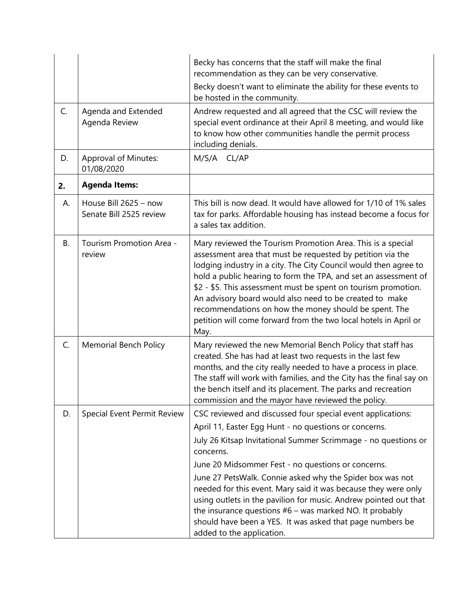|           |                                                  | Becky has concerns that the staff will make the final<br>recommendation as they can be very conservative.<br>Becky doesn't want to eliminate the ability for these events to<br>be hosted in the community.                                                                                                                                                                                                                                                                                                                        |
|-----------|--------------------------------------------------|------------------------------------------------------------------------------------------------------------------------------------------------------------------------------------------------------------------------------------------------------------------------------------------------------------------------------------------------------------------------------------------------------------------------------------------------------------------------------------------------------------------------------------|
| C.        | Agenda and Extended<br>Agenda Review             | Andrew requested and all agreed that the CSC will review the<br>special event ordinance at their April 8 meeting, and would like<br>to know how other communities handle the permit process<br>including denials.                                                                                                                                                                                                                                                                                                                  |
| D.        | <b>Approval of Minutes:</b><br>01/08/2020        | M/S/A CL/AP                                                                                                                                                                                                                                                                                                                                                                                                                                                                                                                        |
| 2.        | <b>Agenda Items:</b>                             |                                                                                                                                                                                                                                                                                                                                                                                                                                                                                                                                    |
| А.        | House Bill 2625 - now<br>Senate Bill 2525 review | This bill is now dead. It would have allowed for 1/10 of 1% sales<br>tax for parks. Affordable housing has instead become a focus for<br>a sales tax addition.                                                                                                                                                                                                                                                                                                                                                                     |
| <b>B.</b> | Tourism Promotion Area -<br>review               | Mary reviewed the Tourism Promotion Area. This is a special<br>assessment area that must be requested by petition via the<br>lodging industry in a city. The City Council would then agree to<br>hold a public hearing to form the TPA, and set an assessment of<br>\$2 - \$5. This assessment must be spent on tourism promotion.<br>An advisory board would also need to be created to make<br>recommendations on how the money should be spent. The<br>petition will come forward from the two local hotels in April or<br>May. |
| C.        | <b>Memorial Bench Policy</b>                     | Mary reviewed the new Memorial Bench Policy that staff has<br>created. She has had at least two requests in the last few<br>months, and the city really needed to have a process in place.<br>The staff will work with families, and the City has the final say on<br>the bench itself and its placement. The parks and recreation<br>commission and the mayor have reviewed the policy.                                                                                                                                           |
| D.        | <b>Special Event Permit Review</b>               | CSC reviewed and discussed four special event applications:                                                                                                                                                                                                                                                                                                                                                                                                                                                                        |
|           |                                                  | April 11, Easter Egg Hunt - no questions or concerns.                                                                                                                                                                                                                                                                                                                                                                                                                                                                              |
|           |                                                  | July 26 Kitsap Invitational Summer Scrimmage - no questions or<br>concerns.                                                                                                                                                                                                                                                                                                                                                                                                                                                        |
|           |                                                  | June 20 Midsommer Fest - no questions or concerns.                                                                                                                                                                                                                                                                                                                                                                                                                                                                                 |
|           |                                                  | June 27 PetsWalk. Connie asked why the Spider box was not<br>needed for this event. Mary said it was because they were only<br>using outlets in the pavilion for music. Andrew pointed out that<br>the insurance questions $#6$ – was marked NO. It probably<br>should have been a YES. It was asked that page numbers be<br>added to the application.                                                                                                                                                                             |